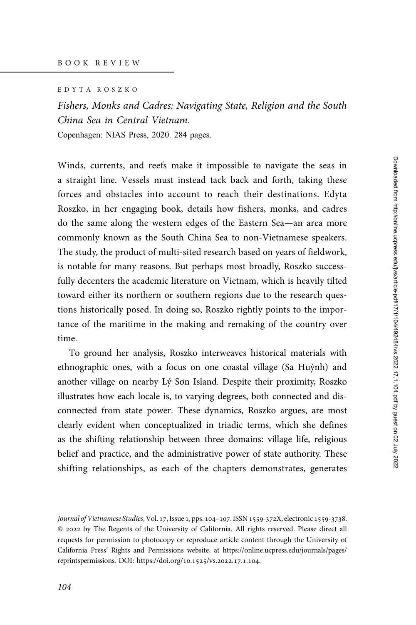EDYTA ROSZKO

Fishers, Monks and Cadres: Navigating State, Religion and the South China Sea in Central Vietnam. Copenhagen: NIAS Press, 2020. 284 pages.

Winds, currents, and reefs make it impossible to navigate the seas in a straight line. Vessels must instead tack back and forth, taking these forces and obstacles into account to reach their destinations. Edyta Roszko, in her engaging book, details how fishers, monks, and cadres do the same along the western edges of the Eastern Sea—an area more commonly known as the South China Sea to non-Vietnamese speakers. The study, the product of multi-sited research based on years of fieldwork, is notable for many reasons. But perhaps most broadly, Roszko successfully decenters the academic literature on Vietnam, which is heavily tilted toward either its northern or southern regions due to the research questions historically posed. In doing so, Roszko rightly points to the importance of the maritime in the making and remaking of the country over time.

To ground her analysis, Roszko interweaves historical materials with ethnographic ones, with a focus on one coastal village (Sa Huỳnh) and another village on nearby Lý Sơn Island. Despite their proximity, Roszko illustrates how each locale is, to varying degrees, both connected and disconnected from state power. These dynamics, Roszko argues, are most clearly evident when conceptualized in triadic terms, which she defines as the shifting relationship between three domains: village life, religious belief and practice, and the administrative power of state authority. These shifting relationships, as each of the chapters demonstrates, generates

Journal of Vietnamese Studies, Vol. 17, Issue 1, pps. 104-107. ISSN 1559-372X, electronic 1559-3738. © by The Regents of the University of California. All rights reserved. Please direct all requests for permission to photocopy or reproduce article content through the University of California Press' Rights and Permissions website, at [https://online.ucpress.edu/journals/pages/](https://online.ucpress.edu/journals/pages/reprintspermissions) [reprintspermissions.](https://online.ucpress.edu/journals/pages/reprintspermissions) [DOI: https://doi.org/](https://doi.org/10.1525/vs.2022.17.1.104)10.1525/vs.2022.17.1.104.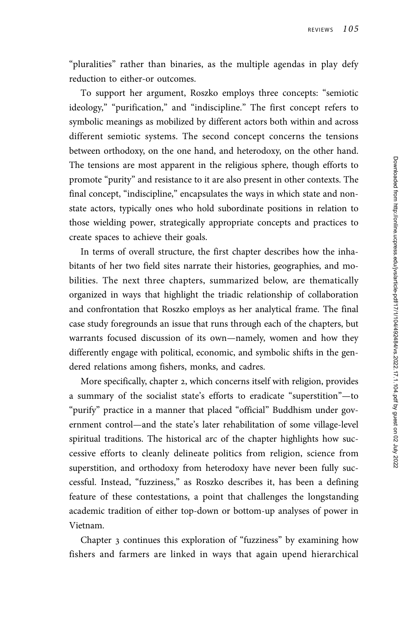"pluralities" rather than binaries, as the multiple agendas in play defy reduction to either-or outcomes.

To support her argument, Roszko employs three concepts: "semiotic ideology," "purification," and "indiscipline." The first concept refers to symbolic meanings as mobilized by different actors both within and across different semiotic systems. The second concept concerns the tensions between orthodoxy, on the one hand, and heterodoxy, on the other hand. The tensions are most apparent in the religious sphere, though efforts to promote "purity" and resistance to it are also present in other contexts. The final concept, "indiscipline," encapsulates the ways in which state and nonstate actors, typically ones who hold subordinate positions in relation to those wielding power, strategically appropriate concepts and practices to create spaces to achieve their goals.

In terms of overall structure, the first chapter describes how the inhabitants of her two field sites narrate their histories, geographies, and mobilities. The next three chapters, summarized below, are thematically organized in ways that highlight the triadic relationship of collaboration and confrontation that Roszko employs as her analytical frame. The final case study foregrounds an issue that runs through each of the chapters, but warrants focused discussion of its own—namely, women and how they differently engage with political, economic, and symbolic shifts in the gendered relations among fishers, monks, and cadres.

More specifically, chapter 2, which concerns itself with religion, provides a summary of the socialist state's efforts to eradicate "superstition"—to "purify" practice in a manner that placed "official" Buddhism under government control—and the state's later rehabilitation of some village-level spiritual traditions. The historical arc of the chapter highlights how successive efforts to cleanly delineate politics from religion, science from superstition, and orthodoxy from heterodoxy have never been fully successful. Instead, "fuzziness," as Roszko describes it, has been a defining feature of these contestations, a point that challenges the longstanding academic tradition of either top-down or bottom-up analyses of power in Vietnam.

Chapter 3 continues this exploration of "fuzziness" by examining how fishers and farmers are linked in ways that again upend hierarchical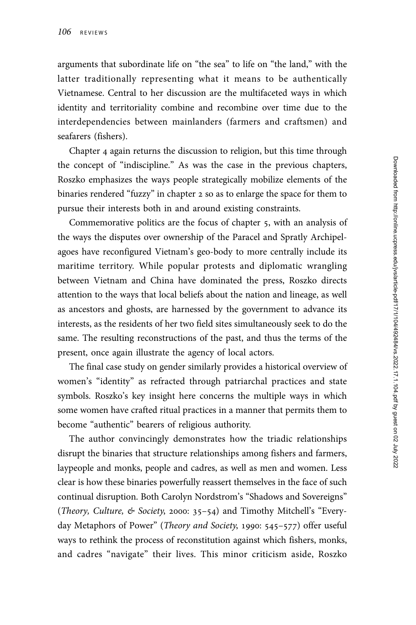arguments that subordinate life on "the sea" to life on "the land," with the latter traditionally representing what it means to be authentically Vietnamese. Central to her discussion are the multifaceted ways in which identity and territoriality combine and recombine over time due to the interdependencies between mainlanders (farmers and craftsmen) and seafarers (fishers).

Chapter 4 again returns the discussion to religion, but this time through the concept of "indiscipline." As was the case in the previous chapters, Roszko emphasizes the ways people strategically mobilize elements of the binaries rendered "fuzzy" in chapter 2 so as to enlarge the space for them to pursue their interests both in and around existing constraints.

Commemorative politics are the focus of chapter 5, with an analysis of the ways the disputes over ownership of the Paracel and Spratly Archipelagoes have reconfigured Vietnam's geo-body to more centrally include its maritime territory. While popular protests and diplomatic wrangling between Vietnam and China have dominated the press, Roszko directs attention to the ways that local beliefs about the nation and lineage, as well as ancestors and ghosts, are harnessed by the government to advance its interests, as the residents of her two field sites simultaneously seek to do the same. The resulting reconstructions of the past, and thus the terms of the present, once again illustrate the agency of local actors.

The final case study on gender similarly provides a historical overview of women's "identity" as refracted through patriarchal practices and state symbols. Roszko's key insight here concerns the multiple ways in which some women have crafted ritual practices in a manner that permits them to become "authentic" bearers of religious authority.

The author convincingly demonstrates how the triadic relationships disrupt the binaries that structure relationships among fishers and farmers, laypeople and monks, people and cadres, as well as men and women. Less clear is how these binaries powerfully reassert themselves in the face of such continual disruption. Both Carolyn Nordstrom's "Shadows and Sovereigns" (*Theory, Culture, & Society, 2000: 35–54*) and Timothy Mitchell's "Everyday Metaphors of Power" (*Theory and Society*, 1990: 545–577) offer useful ways to rethink the process of reconstitution against which fishers, monks, and cadres "navigate" their lives. This minor criticism aside, Roszko